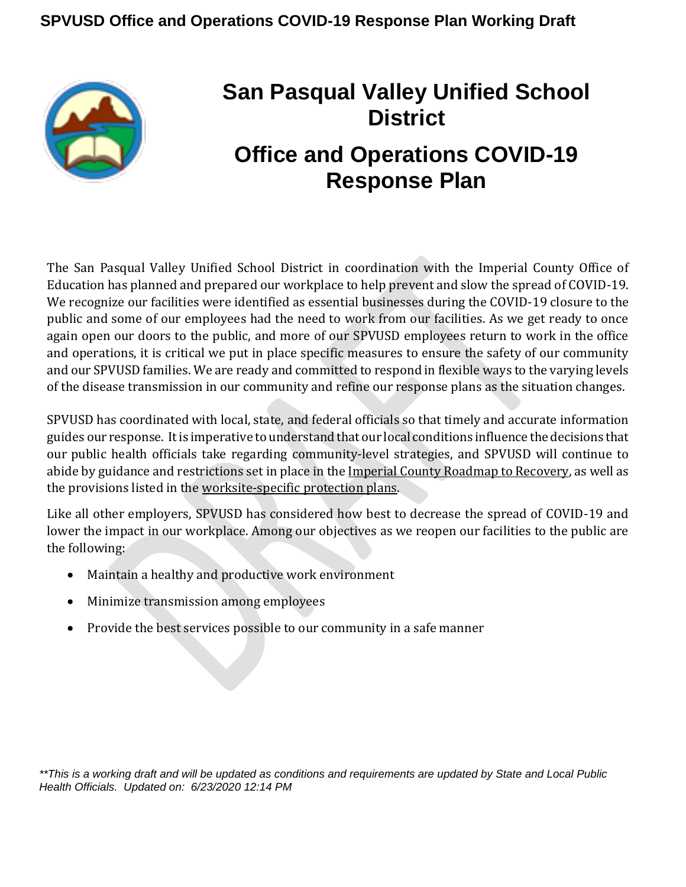

# **San Pasqual Valley Unified School District Office and Operations COVID-19 Response Plan**

The San Pasqual Valley Unified School District in coordination with the Imperial County Office of Education has planned and prepared our workplace to help prevent and slow the spread of COVID-19. We recognize our facilities were identified as essential businesses during the COVID-19 closure to the public and some of our employees had the need to work from our facilities. As we get ready to once again open our doors to the public, and more of our SPVUSD employees return to work in the office and operations, it is critical we put in place specific measures to ensure the safety of our community and our SPVUSD families. We are ready and committed to respond in flexible ways to the varying levels of the disease transmission in our community and refine our response plans as the situation changes.

SPVUSD has coordinated with local, state, and federal officials so that timely and accurate information guides our response. It is imperative to understand that our local conditions influence the decisions that our public health officials take regarding community-level strategies, and SPVUSD will continue to abide by guidance and restrictions set in place in the Imperial County Roadmap to [Recovery,](http://www.icphd.org/roadmap-to-recovery) as well as the provisions listed in the [worksite-specific protection](#page-6-0) plans.

Like all other employers, SPVUSD has considered how best to decrease the spread of COVID-19 and lower the impact in our workplace. Among our objectives as we reopen our facilities to the public are the following:

- Maintain a healthy and productive work environment
- Minimize transmission among employees
- Provide the best services possible to our community in a safe manner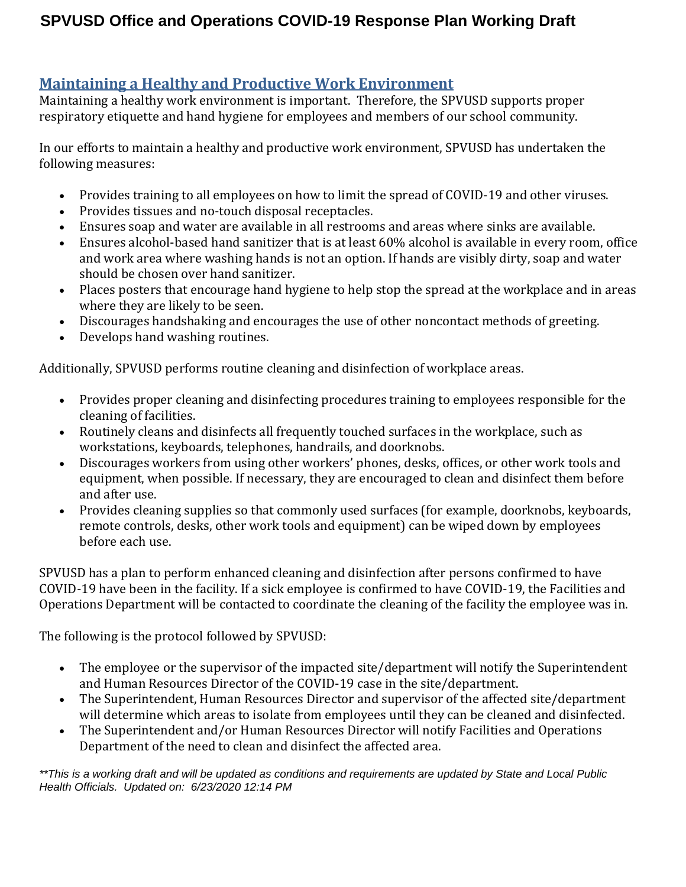#### **Maintaining a Healthy and Productive Work Environment**

Maintaining a healthy work environment is important. Therefore, the SPVUSD supports proper respiratory etiquette and hand hygiene for employees and members of our school community.

In our efforts to maintain a healthy and productive work environment, SPVUSD has undertaken the following measures:

- Provides training to all employees on how to limit the spread of COVID-19 and other viruses.
- Provides tissues and no-touch disposal receptacles.
- Ensures soap and water are available in all restrooms and areas where sinks are available.
- Ensures alcohol-based hand sanitizer that is at least 60% alcohol is available in every room, office and work area where washing hands is not an option. If hands are visibly dirty, soap and water should be chosen over hand sanitizer.
- Places posters that encourage [hand hygiene](https://www.cdc.gov/handwashing/materials.html) to [help stop the spread](https://www.cdc.gov/coronavirus/2019-ncov/communication/factsheets.html) at the workplace and in areas where they are likely to be seen.
- Discourages handshaking and encourages the use of other noncontact methods of greeting.
- Develops hand washing routines.

Additionally, SPVUSD performs routine cleaning and disinfection of workplace areas.

- Provides proper cleaning and disinfecting procedures training to employees responsible for the cleaning of facilities.
- Routinely cleans and disinfects all frequently touched surfaces in the workplace, such as workstations, keyboards, telephones, handrails, and doorknobs.
- Discourages workers from using other workers' phones, desks, offices, or other work tools and equipment, when possible. If necessary, they are encouraged to clean and disinfect them before and after use.
- Provides cleaning supplies so that commonly used surfaces (for example, doorknobs, keyboards, remote controls, desks, other work tools and equipment) can be wiped down by employees before each use.

SPVUSD has a plan to perform enhanced cleaning and disinfection after persons confirmed to have COVID-19 have been in the facility. If a sick employee is confirmed to have COVID-19, the Facilities and Operations Department will be contacted to coordinate the cleaning of the facility the employee was in.

The following is the protocol followed by SPVUSD:

- The employee or the supervisor of the impacted site/department will notify the Superintendent and Human Resources Director of the COVID-19 case in the site/department.
- The Superintendent, Human Resources Director and supervisor of the affected site/department will determine which areas to isolate from employees until they can be cleaned and disinfected.
- The Superintendent and/or Human Resources Director will notify Facilities and Operations Department of the need to clean and disinfect the affected area.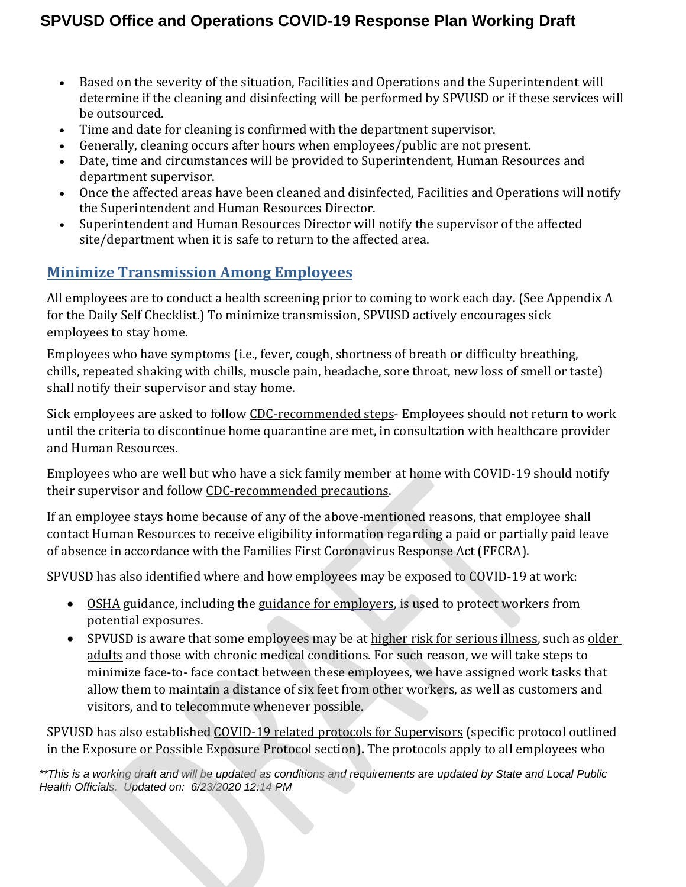- Based on the severity of the situation, Facilities and Operations and the Superintendent will determine if the cleaning and disinfecting will be performed by SPVUSD or if these services will be outsourced.
- Time and date for cleaning is confirmed with the department supervisor.
- Generally, cleaning occurs after hours when employees/public are not present.
- Date, time and circumstances will be provided to Superintendent, Human Resources and department supervisor.
- Once the affected areas have been cleaned and disinfected, Facilities and Operations will notify the Superintendent and Human Resources Director.
- Superintendent and Human Resources Director will notify the supervisor of the affected site/department when it is safe to return to the affected area.

#### **Minimize Transmission Among Employees**

All employees are to conduct a health screening prior to coming to work each day. (See Appendix A for the Daily Self Checklist.) To minimize transmission, SPVUSD actively encourages sick employees to stay home.

Employees who have [symptoms](https://www.cdc.gov/coronavirus/2019-ncov/about/symptoms.html) (i.e., fever, cough, shortness of breath or difficulty breathing, chills, repeated shaking with chills, muscle pain, headache, sore throat, new loss of smell or taste) shall notify their supervisor and stay home.

Sick employees are asked to follow [CDC-recommended steps-](https://www.cdc.gov/coronavirus/2019-ncov/if-you-are-sick/steps-when-sick.html) Employees should not return to work until the criteria to discontinue home quarantine are met, in consultation with healthcare provider and Human Resources.

Employees who are well but who have a sick family member at home with COVID-19 should notify their supervisor and follow [CDC-recommended precautions.](https://www.cdc.gov/coronavirus/2019-ncov/hcp/guidance-prevent-spread.html#precautions)

If an employee stays home because of any of the above-mentioned reasons, that employee shall contact Human Resources to receive eligibility information regarding a paid or partially paid leave of absence in accordance with the Families First Coronavirus Response Act (FFCRA).

SPVUSD has also identified where and how employees may be exposed to COVID-19 at work:

- [OSHA](https://www.osha.gov/SLTC/covid-19/) guidance, including the [guidance for employers, i](https://www.osha.gov/Publications/OSHA3990.pdf)s used to protect workers from potential exposures.
- SPVUSD is aware that some employees may be at [higher risk for serious illness,](https://www.cdc.gov/coronavirus/2019-ncov/need-extra-precautions/people-at-higher-risk.html) such as older [adults](https://www.cdc.gov/coronavirus/2019-ncov/need-extra-precautions/older-adults.html) and those with chronic medical conditions. For such reason, we will take steps to minimize face-to- face contact between these employees, we have assigned work tasks that allow them to maintain a distance of six feet from other workers, as well as customers and visitors, and to telecommute whenever possible.

SPVUSD has also established [COVID-19 related protocols for Supervisors](#page-10-0) (specific protocol outlined in the Exposure or Possible Exposure Protocol section)**.** The protocols apply to all employees who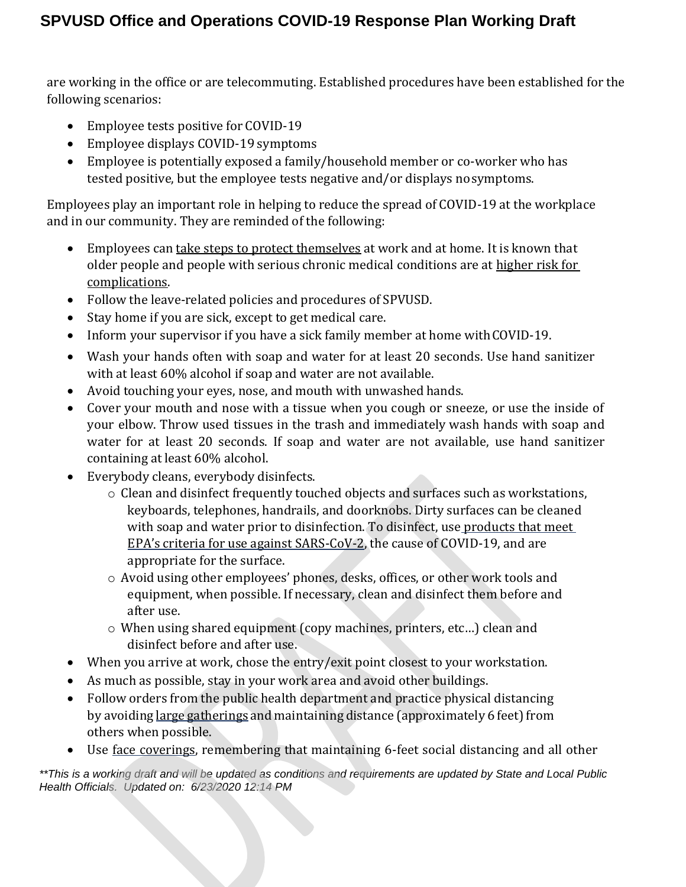are working in the office or are telecommuting. Established procedures have been established for the following scenarios:

- Employee tests positive for COVID-19
- Employee displays COVID-19 symptoms
- Employee is potentially exposed a family/household member or co-worker who has tested positive, but the employee tests negative and/or displays nosymptoms.

Employees play an important role in helping to reduce the spread of COVID-19 at the workplace and in our community. They are reminded of the following:

- Employees can [take steps to protect themselves](https://www.cdc.gov/coronavirus/2019-ncov/prevent-getting-sick/prevention.html) at work and at home. It is known that older people and people with serious chronic medical conditions are at [higher risk for](https://www.cdc.gov/coronavirus/2019-ncov/need-extra-precautions/people-at-higher-risk.html) [complications.](https://www.cdc.gov/coronavirus/2019-ncov/need-extra-precautions/people-at-higher-risk.html)
- Follow the leave-related policies and procedures of SPVUSD.
- Stay home if you are sick, except to get medical care.
- Inform your supervisor if you have a sick family member at home with COVID-19.
- Wash your hands often with soap and water for at least 20 seconds. Use hand sanitizer with at least 60% alcohol if soap and water are not available.
- Avoid touching your eyes, nose, and mouth with unwashed hands.
- Cover your mouth and nose with a tissue when you cough or sneeze, or use the inside of your elbow. Throw used tissues in the trash and immediately wash hands with soap and water for at least 20 seconds. If soap and water are not available, use hand sanitizer containing at least 60% alcohol.
- Everybody cleans, everybody disinfects.
	- o Clean and disinfect frequently touched objects and surfaces such as workstations, keyboards, telephones, handrails, and doorknobs. Dirty surfaces can be cleaned with soap and water prior to disinfection. To disinfect, use products that meet [EPA's](https://www.epa.gov/pesticide-registration/list-n-disinfectants-use-against-sars-cov-2) [criteria for use against SARS-CoV-2,](https://www.epa.gov/pesticide-registration/list-n-disinfectants-use-against-sars-cov-2) the cause of COVID-19, and are appropriate for the surface.
	- o Avoid using other employees' phones, desks, offices, or other work tools and equipment, when possible. If necessary, clean and disinfect them before and after use.
	- o When using shared equipment (copy machines, printers, etc…) clean and disinfect before and after use.
- When you arrive at work, chose the entry/exit point closest to your workstation.
- As much as possible, stay in your work area and avoid other buildings.
- Follow orders from the public health department and practice physical distancing by avoiding large [gatherings](https://www.cdc.gov/coronavirus/2019-ncov/community/large-events/index.html) and maintaining distance (approximately 6 feet) from others when possible.
- Use [face coverings,](https://www.cdc.gov/coronavirus/2019-ncov/prevent-getting-sick/cloth-face-cover.html) remembering that maintaining 6-feet social distancing and all other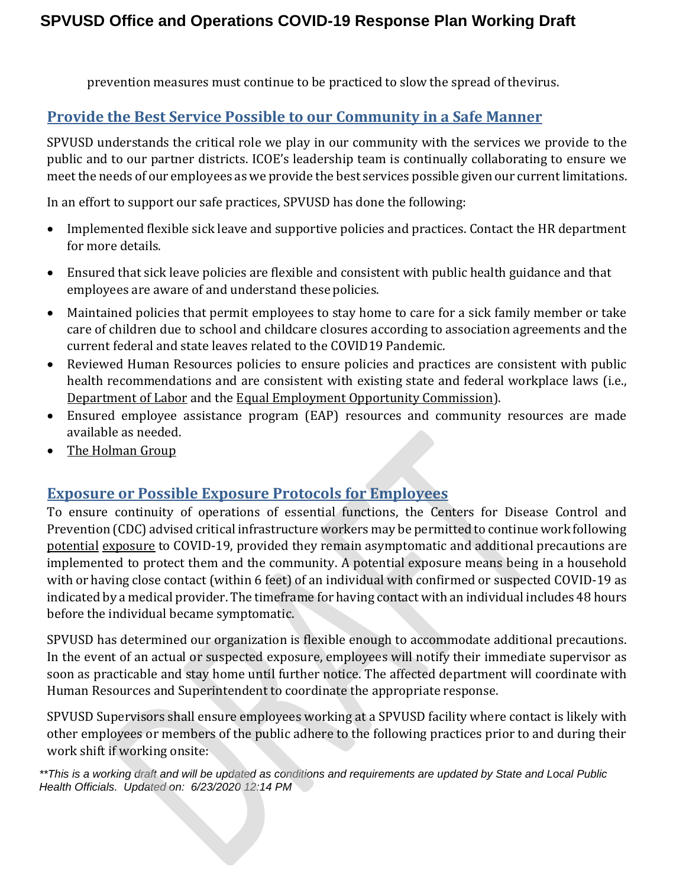prevention measures must continue to be practiced to slow the spread of thevirus.

#### **Provide the Best Service Possible to our Community in a Safe Manner**

SPVUSD understands the critical role we play in our community with the services we provide to the public and to our partner districts. ICOE's leadership team is continually collaborating to ensure we meet the needs of our employees as we provide the best services possible given our current limitations.

In an effort to support our safe practices, SPVUSD has done the following:

- Implemented flexible sick leave and supportive policies and practices. Contact the HR department for more details.
- Ensured that sick leave policies are flexible and consistent with public health guidance and that employees are aware of and understand these policies.
- Maintained policies that permit employees to stay home to care for a sick family member or take care of children due to school and childcare closures according to association agreements and the current federal and state leaves related to the COVID19 Pandemic.
- Reviewed Human Resources policies to ensure policies and practices are consistent with public health recommendations and are consistent with existing state and federal workplace laws (i.e., [Department](http://www.dol.gov/) [of Labor](http://www.dol.gov/) and the [Equal Employment Opportunity](http://www.eeoc.gov/) Commission).
- Ensured employee assistance program (EAP) resources and community resources are made available as needed.
- [The Holman](https://drive.google.com/file/d/1t_Q5fik-MPbbxQYglP2uZS2kvO3ocIcy/view) Group

#### **Exposure or Possible Exposure Protocols for Employees**

To ensure continuity of operations of essential functions, the Centers for Disease Control and Prevention (CDC) advised critical infrastructure workers may be permitted to continue work following [potential](https://www.cdc.gov/coronavirus/2019-ncov/community/critical-workers/implementing-safety-practices.html) [exposure](https://www.cdc.gov/coronavirus/2019-ncov/community/critical-workers/implementing-safety-practices.html) to COVID-19, provided they remain asymptomatic and additional precautions are implemented to protect them and the community. A potential exposure means being in a household with or having close contact (within 6 feet) of an individual with confirmed or suspected COVID-19 as indicated by a medical provider. The timeframe for having contact with an individual includes 48 hours before the individual became symptomatic.

SPVUSD has determined our organization is flexible enough to accommodate additional precautions. In the event of an actual or suspected exposure, employees will notify their immediate supervisor as soon as practicable and stay home until further notice. The affected department will coordinate with Human Resources and Superintendent to coordinate the appropriate response.

SPVUSD Supervisors shall ensure employees working at a SPVUSD facility where contact is likely with other employees or members of the public adhere to the following practices prior to and during their work shift if working onsite: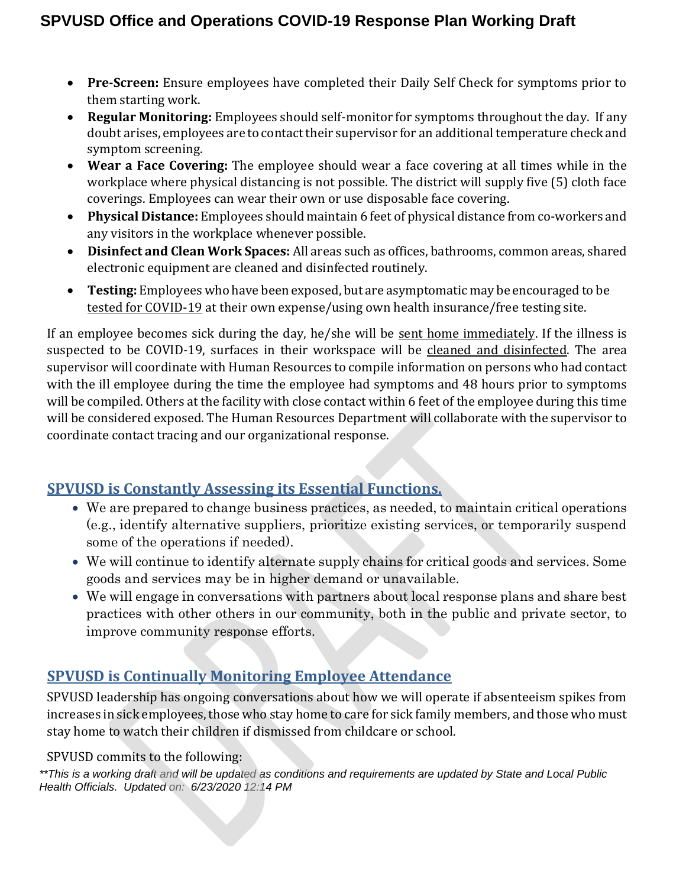- **Pre-Screen:** Ensure employees have completed their Daily Self Check for symptoms prior to them starting work.
- **Regular Monitoring:** Employees should self-monitor for symptoms throughout the day. If any doubt arises, employees are to contact their supervisor for an additional temperature check and symptom screening.
- **Wear a Face Covering:** The employee should wear a face covering at all times while in the workplace where physical distancing is not possible. The district will supply five (5) cloth face coverings. Employees can wear their own or use disposable face covering.
- **Physical Distance:** Employees should maintain 6 feet of physical distance from co-workers and any visitors in the workplace whenever possible.
- **Disinfect and Clean Work Spaces:** All areas such as offices, bathrooms, common areas, shared electronic equipment are cleaned and disinfected routinely.
- **Testing:** Employees who have been exposed, but are asymptomatic may be encouraged to be [tested](https://lhi.care/covidtesting) [for COVID-19](https://lhi.care/covidtesting) at their own expense/using own health insurance/free testing site.

If an employee becomes sick during the day, he/she will be [sent home immediately.](https://www.cdc.gov/coronavirus/2019-ncov/if-you-are-sick/caring-for-yourself-at-home.html) If the illness is suspected to be COVID-19, surfaces in their workspace will be cleaned and [disinfected.](https://www.cdc.gov/coronavirus/2019-ncov/prepare/disinfecting-building-facility.html) The area supervisor will coordinate with Human Resources to compile information on persons who had contact with the ill employee during the time the employee had symptoms and 48 hours prior to symptoms will be compiled. Others at the facility with close contact within 6 feet of the employee during this time will be considered exposed. The Human Resources Department will collaborate with the supervisor to coordinate contact tracing and our organizational response.

## **SPVUSD is Constantly Assessing its Essential Functions.**

- We are prepared to change business practices, as needed, to maintain critical operations (e.g., identify alternative suppliers, prioritize existing services, or temporarily suspend some of the operations if needed).
- We will continue to identify alternate supply chains for critical goods and services. Some goods and services may be in higher demand or unavailable.
- We will engage in conversations with partners about local response plans and share best practices with other others in our community, both in the public and private sector, to improve community response efforts.

## **SPVUSD is Continually Monitoring Employee Attendance**

SPVUSD leadership has ongoing conversations about how we will operate if absenteeism spikes from increases in sick employees, those who stay home to care for sick family members, and those who must stay home to watch their children if dismissed from childcare or school.

#### SPVUSD commits to the following: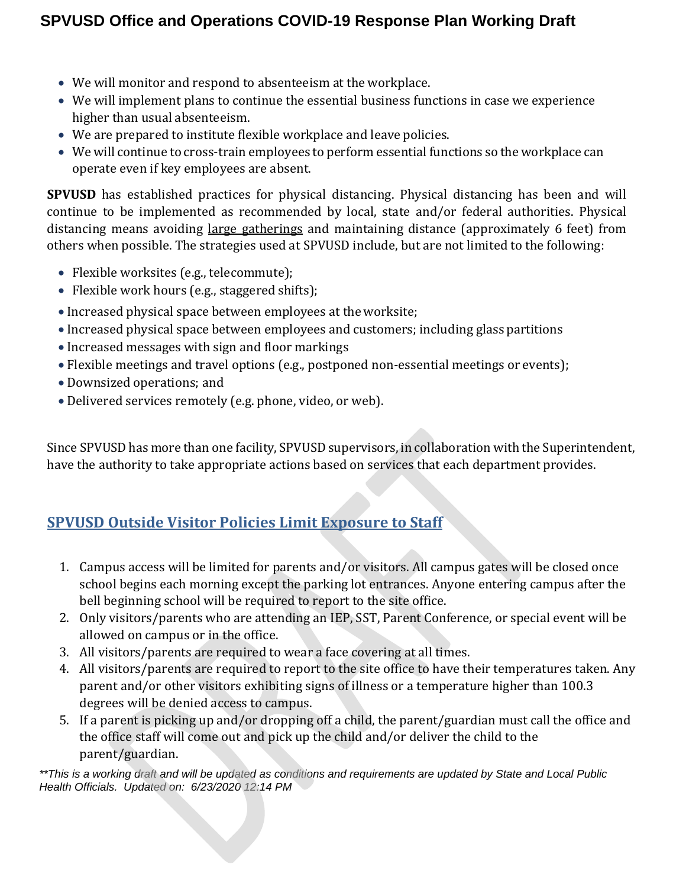- We will monitor and respond to absenteeism at the workplace.
- We will implement plans to continue the essential business functions in case we experience higher than usual absenteeism.
- We are prepared to institute flexible workplace and leave policies.
- We will continue to cross-train employees to perform essential functions so the workplace can operate even if key employees are absent.

**SPVUSD** has established practices for physical distancing. Physical distancing has been and will continue to be implemented as recommended by local, state and/or federal authorities. Physical distancing means avoiding [large gatherings](https://www.cdc.gov/coronavirus/2019-ncov/community/large-events/index.html) and maintaining distance (approximately 6 feet) from others when possible. The strategies used at SPVUSD include, but are not limited to the following:

- Flexible worksites (e.g., telecommute);
- Flexible work hours (e.g., staggered shifts);
- <span id="page-6-0"></span>Increased physical space between employees at theworksite;
- Increased physical space between employees and customers; including glass partitions
- Increased messages with sign and floor markings
- Flexible meetings and travel options (e.g., postponed non-essential meetings or events);
- Downsized operations; and
- Delivered services remotely (e.g. phone, video, or web).

Since SPVUSD has more than one facility, SPVUSD supervisors, in collaboration with the Superintendent, have the authority to take appropriate actions based on services that each department provides.

## **SPVUSD Outside Visitor Policies Limit Exposure to Staff**

- 1. Campus access will be limited for parents and/or visitors. All campus gates will be closed once school begins each morning except the parking lot entrances. Anyone entering campus after the bell beginning school will be required to report to the site office.
- 2. Only visitors/parents who are attending an IEP, SST, Parent Conference, or special event will be allowed on campus or in the office.
- 3. All visitors/parents are required to wear a face covering at all times.
- 4. All visitors/parents are required to report to the site office to have their temperatures taken. Any parent and/or other visitors exhibiting signs of illness or a temperature higher than 100.3 degrees will be denied access to campus.
- 5. If a parent is picking up and/or dropping off a child, the parent/guardian must call the office and the office staff will come out and pick up the child and/or deliver the child to the parent/guardian.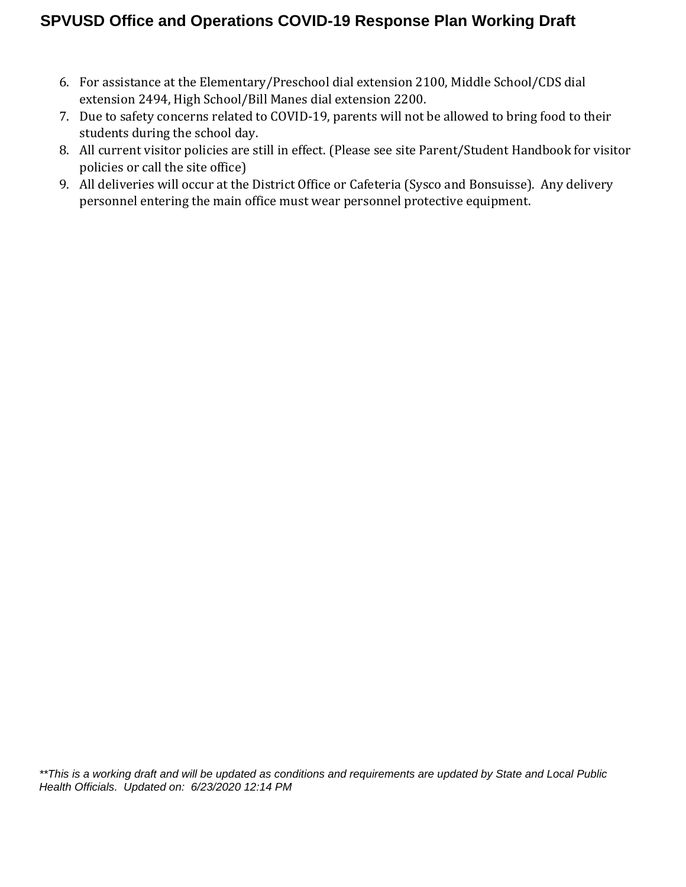- 6. For assistance at the Elementary/Preschool dial extension 2100, Middle School/CDS dial extension 2494, High School/Bill Manes dial extension 2200.
- 7. Due to safety concerns related to COVID-19, parents will not be allowed to bring food to their students during the school day.
- 8. All current visitor policies are still in effect. (Please see site Parent/Student Handbook for visitor policies or call the site office)
- 9. All deliveries will occur at the District Office or Cafeteria (Sysco and Bonsuisse). Any delivery personnel entering the main office must wear personnel protective equipment.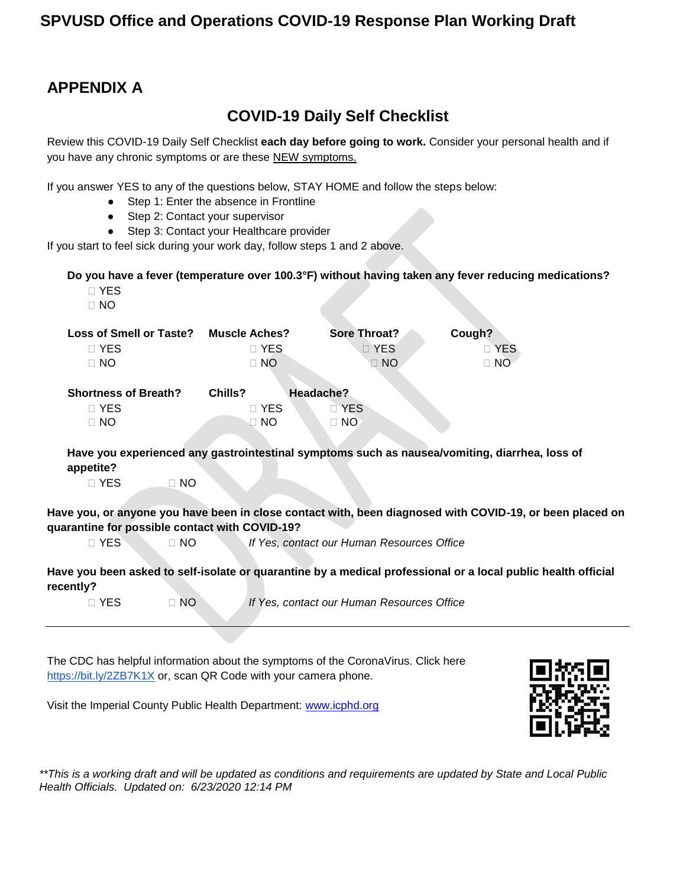## **APPENDIX A**

## **COVID-19 Daily Self Checklist**

Review this COVID-19 Daily Self Checklist **each day before going to work.** Consider your personal health and if you have any chronic symptoms or are these NEW symptoms.

If you answer YES to any of the questions below, STAY HOME and follow the steps below:

- Step 1: Enter the absence in Frontline
- Step 2: Contact your supervisor
- Step 3: Contact your Healthcare provider

If you start to feel sick during your work day, follow steps 1 and 2 above.

**Do you have a fever (temperature over 100.3°F) without having taken any fever reducing medications?**

- **⃞** YES
- **⃞** NO

| <b>Loss of Smell or Taste?</b><br>$\square$ YES<br>$\Box$ NO | <b>Muscle Aches?</b><br>$\Box$ YES<br>$\Box$ NO | Sore Throat?<br>D YES<br>$\Box$ NO | Cough?<br>□ YES<br>$\Box$ NO |
|--------------------------------------------------------------|-------------------------------------------------|------------------------------------|------------------------------|
| <b>Shortness of Breath?</b>                                  | Chills?                                         | Headache?                          |                              |
| $\square$ YES                                                | D YES                                           | D YES                              |                              |
| $\Box$ NO                                                    | $\Box$ NO                                       | $\Box$ NO                          |                              |
|                                                              | .                                               |                                    | .                            |

**Have you experienced any gastrointestinal symptoms such as nausea/vomiting, diarrhea, loss of appetite?**

**⃞** YES **⃞** NO

**Have you, or anyone you have been in close contact with, been diagnosed with COVID-19, or been placed on quarantine for possible contact with COVID-19?**

**⃞** YES **⃞** NO *If Yes, contact our Human Resources Office*

**Have you been asked to self-isolate or quarantine by a medical professional or a local public health official recently?**

**⃞** YES **⃞** NO *If Yes, contact our Human Resources Office*

The CDC has helpful information about the symptoms of the CoronaVirus. Click here <https://bit.ly/2ZB7K1X> or, scan QR Code with your camera phone.

Visit the Imperial County Public Health Department: [www.icphd.org](http://www.icphd.org/)

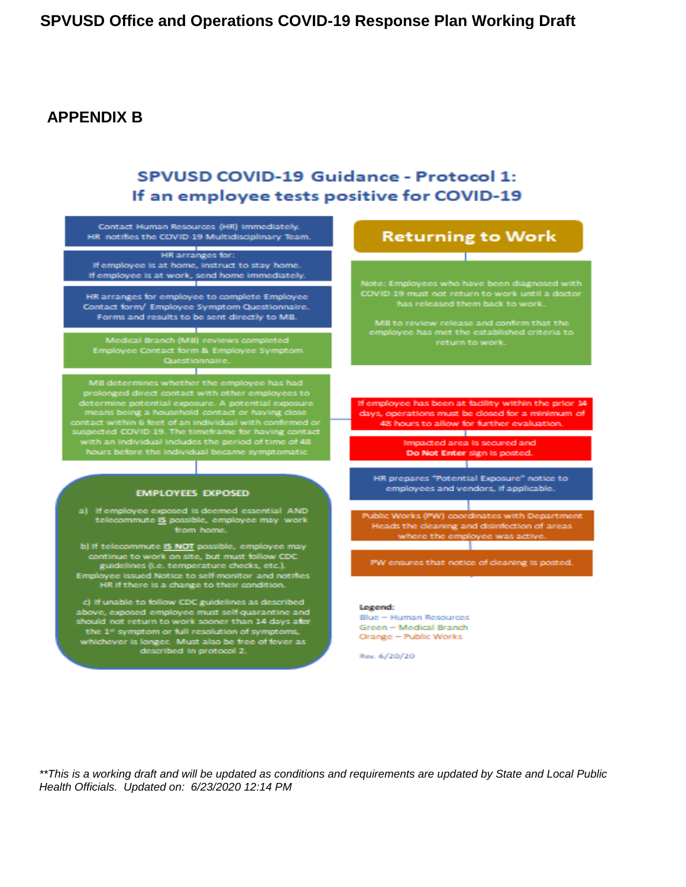#### **APPENDIX B**

#### SPVUSD COVID-19 Guidance - Protocol 1: If an employee tests positive for COVID-19



Rev. 6/20/20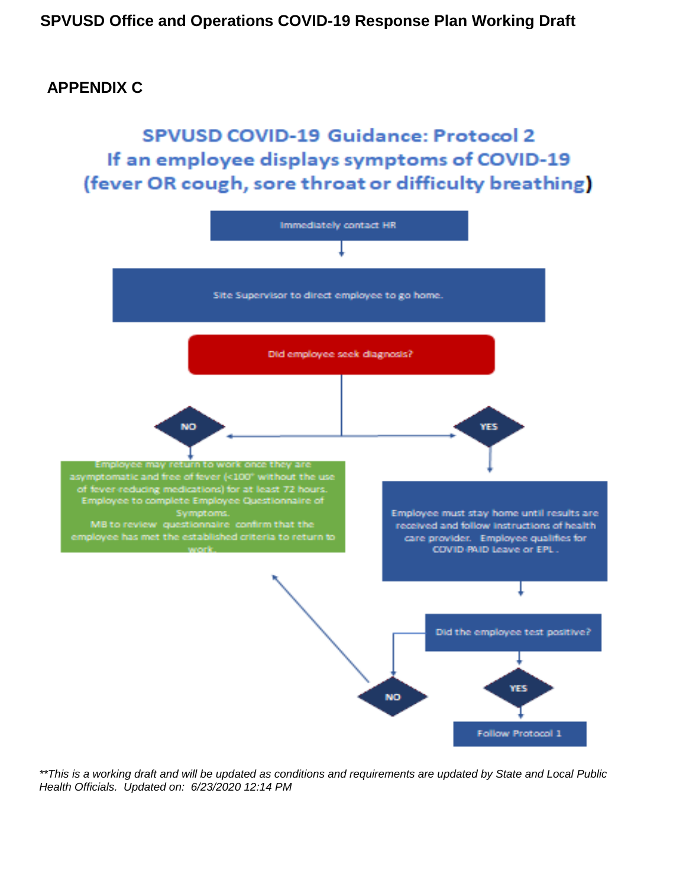#### <span id="page-10-0"></span>**APPENDIX C**

**SPVUSD COVID-19 Guidance: Protocol 2** If an employee displays symptoms of COVID-19 (fever OR cough, sore throat or difficulty breathing)

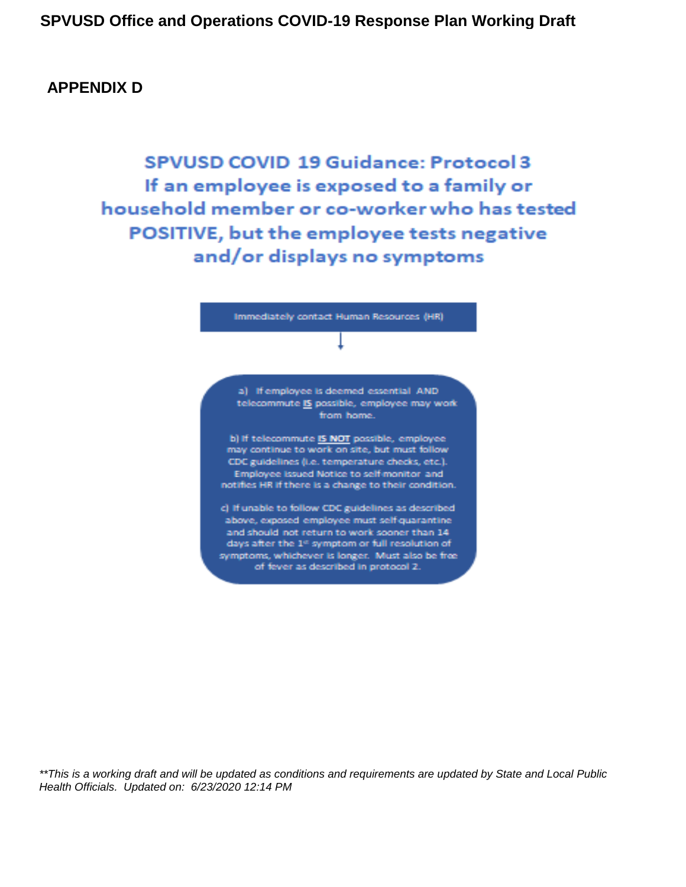#### **APPENDIX D**

**SPVUSD COVID 19 Guidance: Protocol 3** If an employee is exposed to a family or household member or co-worker who has tested POSITIVE, but the employee tests negative and/or displays no symptoms

Immediately contact Human Resources (HR)

a) If employee is deemed essential AND telecommute IS possible, employee may work from home.

b) If telecommute IS NOT possible, employee may continue to work on site, but must follow CDC guidelines (i.e. temperature checks, etc.). Employee issued Notice to self-monitor and notifies HR if there is a change to their condition.

c) If unable to follow CDC guidelines as described above, exposed employee must self-quarantine and should not return to work sooner than 14 days after the 1st symptom or full resolution of symptoms, whichever is longer. Must also be free of fever as described in protocol 2.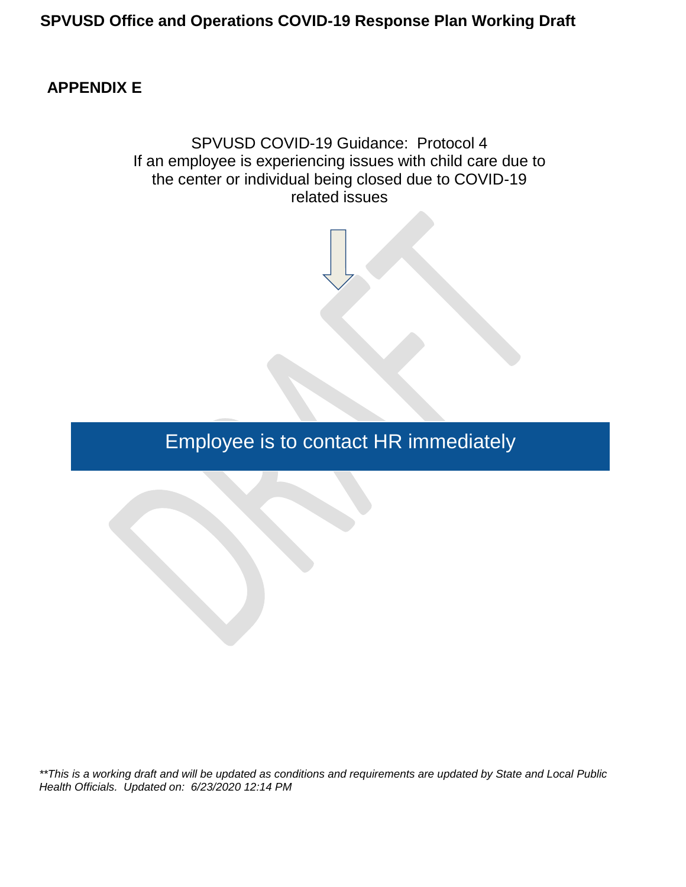#### **APPENDIX E**

SPVUSD COVID-19 Guidance: Protocol 4 If an employee is experiencing issues with child care due to the center or individual being closed due to COVID-19 related issues

Employee is to contact HR immediately